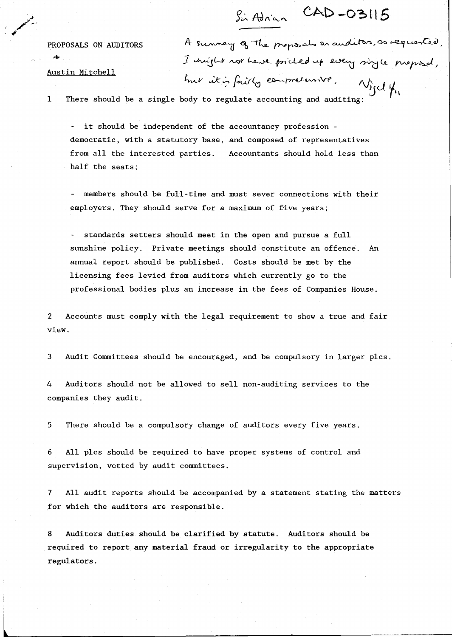, g

PROPOSALS ON AUDITORS A sunney of the proposals an auditor, as requested.  $I$  unifile not have pricled up every sigle presented.  $h$  *it is fairly compretent*  $\omega_{\rm id}$   $\mu_{\rm g}$ 

 $CAD - O311!$ 

Austin Mitchell

I There should be a single body to regulate accounting and auditing:

it should be independent of the accountancy profession democratic, with a statutory base, and composed of representatives from all the interested parties. half the seats; Accountants should hold less than

members should be full-time and must sever connections with their employers. They should serve for a maximum of five years;

standards setters should meet in the open and pursue a full sunshine policy. Private meetings should constitute an offence. An annual report should be published. Costs should be met by the licensing fees levied from auditors which currently go to the professional bodies plus an increase in the fees of Companies House.

2 Accounts must comply with the legal requirement to show a true and fair view.

3 Audit Committees should be encouraged, and be compulsory in larger plcs.

4 Auditors should not be allowed to sell non-auditing services to the companies they audit.

5 There should be a compulsory change of auditors every five years.

6 All plcs should be required to have proper systems of control and supervision, vetted by audit committees.

7 All audit reports should be accompanied by a statement stating the matters for which the auditors are responsible.

8 Auditors duties should be clarified by statute. Auditors should be required to report any material fraud or irregularity to the appropriate regulators.

l'altres del control de la control de la control de la control de la control de la control de la control de la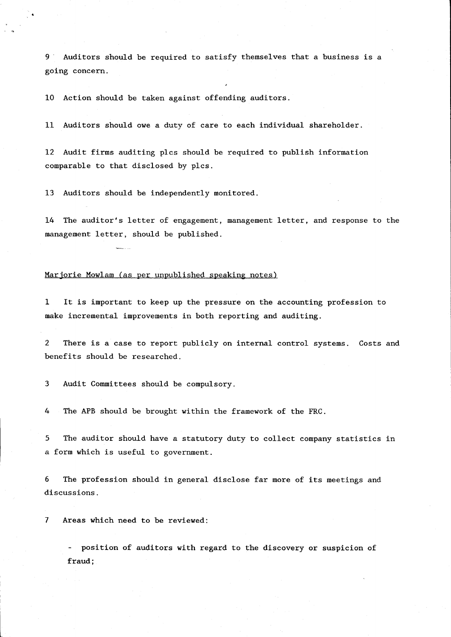9 Auditors should be required to satisfy themselves that a business is a going concern.

10 Action should be taken against offending auditors.

11 Auditors should owe a duty of care to each individual shareholder.

12 Audit firms auditing plcs should be required to publish information comparable to that disclosed by plcs.

13 Auditors should be independently monitored.

14 The auditor's letter of engagement, management letter, and response to the management letter, should be published.

## Marjorie Mowlam (as per unpublished speaking notes)

1 It is important to keep up the pressure on the accounting profession to make incremental improvements in both reporting and auditing.

2 There is a case to report publicly on internal control systems. Costs and benefits should be researched.

3 Audit Committees should be compulsory.

4 The APB should be brought within the framework of the FRC.

5 The auditor should have a statutory duty to collect company statistics in a form which is useful to government.

6 The profession should in general disclose far more of its meetings and discussions.

7 Areas which need to be reviewed:

position of auditors with regard to the discovery or suspicion of fraud;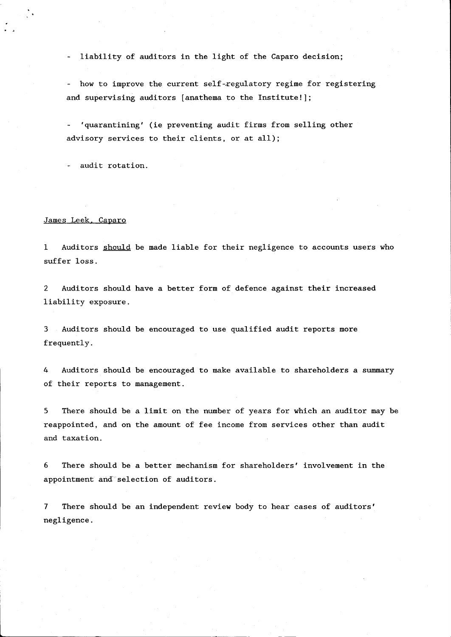liability of auditors in the light of the Caparo decision;

- how to improve the current self-regulatory regime for registering and supervising auditors [anathema to the Institute!];

'quarantining' (ie preventing audit firms from selling other advisory services to their clients, or at all);

audit rotation.

## James Leek. Caparo

1 Auditors should be made liable for their negligence to accounts users who suffer loss.

2 Auditors should have a better form of defence against their increased liability exposure.

3 Auditors should be encouraged to use qualified audit reports more frequently.

4 Auditors should be encouraged to make available to shareholders a summary of their reports to management.

5 There should be a limit on the number of years for which an auditor may be reappointed, and on the amount of fee income from services other than audit and taxation.

6 There should be a better mechanism for shareholders' involvement in the appointment and selection of auditors.

7 There should be an independent review body to hear cases of auditors' negligence.